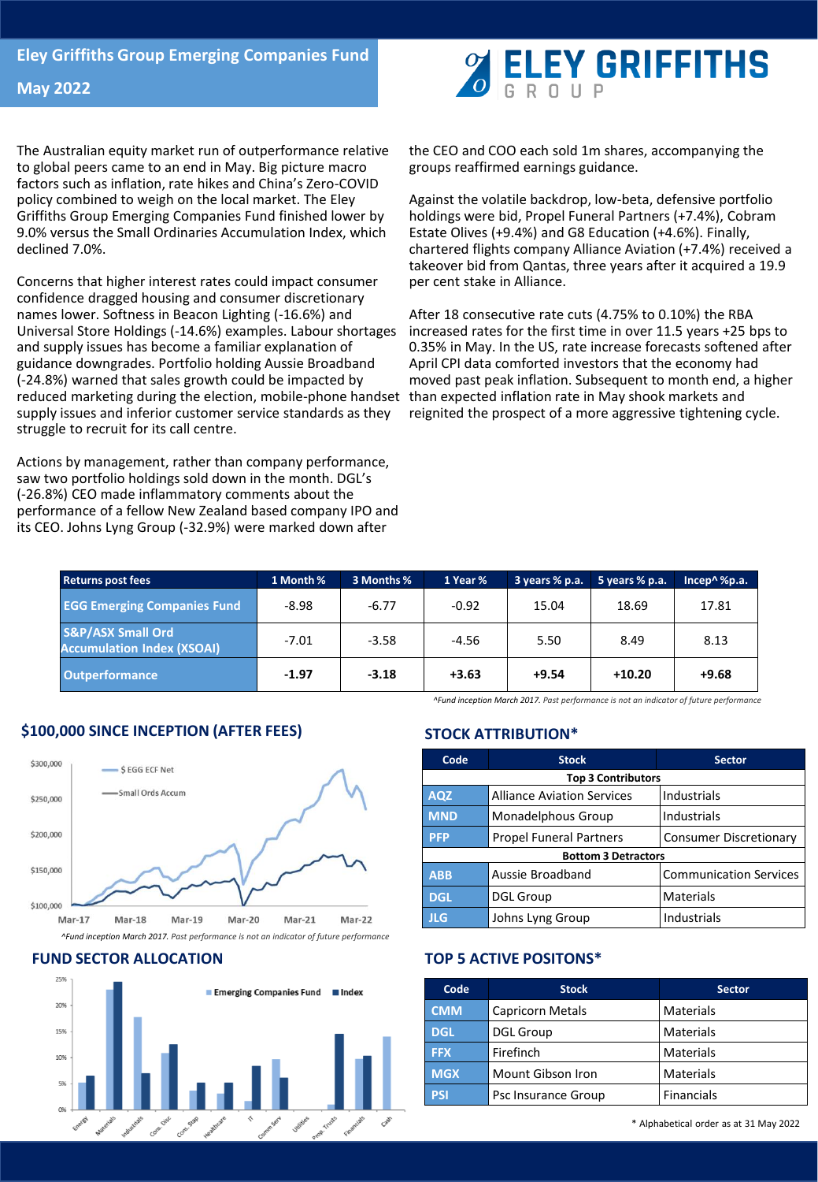The Australian equity market run of outperformance relative to global peers came to an end in May. Big picture macro factors such as inflation, rate hikes and China's Zero-COVID policy combined to weigh on the local market. The Eley Griffiths Group Emerging Companies Fund finished lower by 9.0% versus the Small Ordinaries Accumulation Index, which declined 7.0%.

Concerns that higher interest rates could impact consumer confidence dragged housing and consumer discretionary names lower. Softness in Beacon Lighting (-16.6%) and Universal Store Holdings (-14.6%) examples. Labour shortages and supply issues has become a familiar explanation of guidance downgrades. Portfolio holding Aussie Broadband (-24.8%) warned that sales growth could be impacted by reduced marketing during the election, mobile-phone handset than expected inflation rate in May shook markets and supply issues and inferior customer service standards as they struggle to recruit for its call centre.

Actions by management, rather than company performance, saw two portfolio holdings sold down in the month. DGL's (-26.8%) CEO made inflammatory comments about the performance of a fellow New Zealand based company IPO and its CEO. Johns Lyng Group (-32.9%) were marked down after



the CEO and COO each sold 1m shares, accompanying the groups reaffirmed earnings guidance.

Against the volatile backdrop, low-beta, defensive portfolio holdings were bid, Propel Funeral Partners (+7.4%), Cobram Estate Olives (+9.4%) and G8 Education (+4.6%). Finally, chartered flights company Alliance Aviation (+7.4%) received a takeover bid from Qantas, three years after it acquired a 19.9 per cent stake in Alliance.

After 18 consecutive rate cuts (4.75% to 0.10%) the RBA increased rates for the first time in over 11.5 years +25 bps to 0.35% in May. In the US, rate increase forecasts softened after April CPI data comforted investors that the economy had moved past peak inflation. Subsequent to month end, a higher reignited the prospect of a more aggressive tightening cycle.

| <b>Returns post fees</b>                                          | 1 Month % | 3 Months % | 1 Year % | 3 years % p.a. | 5 years % p.a. | Incep $\land$ %p.a. |
|-------------------------------------------------------------------|-----------|------------|----------|----------------|----------------|---------------------|
| <b>EGG Emerging Companies Fund</b>                                | $-8.98$   | $-6.77$    | $-0.92$  | 15.04          | 18.69          | 17.81               |
| <b>S&amp;P/ASX Small Ord</b><br><b>Accumulation Index (XSOAI)</b> | $-7.01$   | $-3.58$    | -4.56    | 5.50           | 8.49           | 8.13                |
| <b>Outperformance</b>                                             | $-1.97$   | $-3.18$    | $+3.63$  | $+9.54$        | $+10.20$       | $+9.68$             |

*^Fund inception March 2017. Past performance is not an indicator of future performance*

# **\$100,000 SINCE INCEPTION (AFTER FEES)**



### **FUND SECTOR ALLOCATION**



### **STOCK ATTRIBUTION\***

| Code                       | <b>Stock</b>                      | <b>Sector</b>                 |  |  |  |  |
|----------------------------|-----------------------------------|-------------------------------|--|--|--|--|
| <b>Top 3 Contributors</b>  |                                   |                               |  |  |  |  |
| <b>AQZ</b>                 | <b>Alliance Aviation Services</b> | Industrials                   |  |  |  |  |
| <b>MND</b>                 | Monadelphous Group                | Industrials                   |  |  |  |  |
| <b>PFP</b>                 | <b>Propel Funeral Partners</b>    | <b>Consumer Discretionary</b> |  |  |  |  |
| <b>Bottom 3 Detractors</b> |                                   |                               |  |  |  |  |
| <b>ABB</b>                 | Aussie Broadband                  | <b>Communication Services</b> |  |  |  |  |
| <b>DGL</b>                 | <b>DGL Group</b>                  | Materials                     |  |  |  |  |
| JLG.                       | Johns Lyng Group                  | <b>Industrials</b>            |  |  |  |  |

### **TOP 5 ACTIVE POSITONS\***

| Code       | <b>Stock</b>            | <b>Sector</b>     |
|------------|-------------------------|-------------------|
| <b>CMM</b> | <b>Capricorn Metals</b> | <b>Materials</b>  |
| <b>DGL</b> | <b>DGL Group</b>        | <b>Materials</b>  |
| <b>FFX</b> | Firefinch               | <b>Materials</b>  |
| <b>MGX</b> | Mount Gibson Iron       | <b>Materials</b>  |
| <b>PSI</b> | Psc Insurance Group     | <b>Financials</b> |

\* Alphabetical order as at 31 May 2022